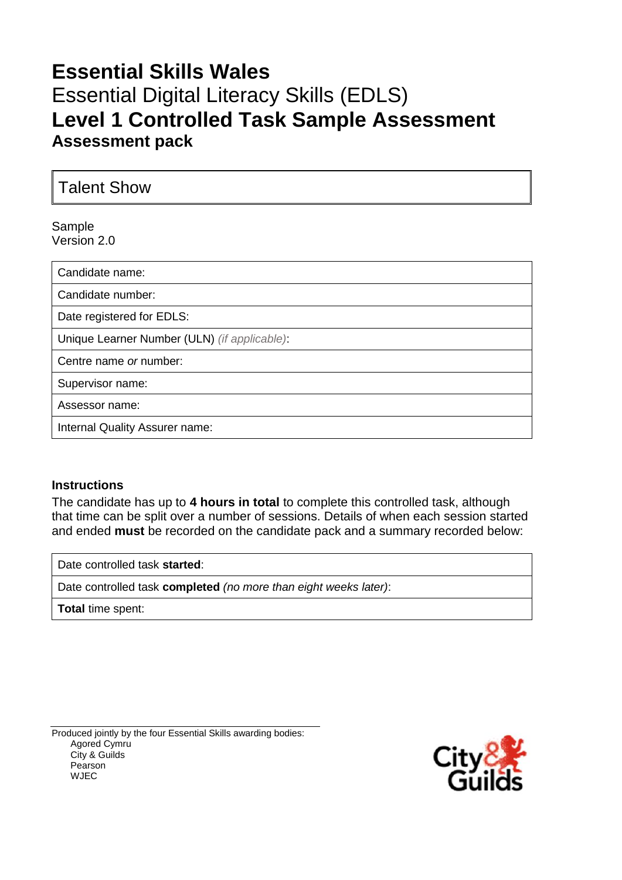# **Essential Skills Wales** Essential Digital Literacy Skills (EDLS) **Level 1 Controlled Task Sample Assessment Assessment pack**

Talent Show

Sample Version 2.0

Candidate name: Candidate number: Date registered for EDLS: Unique Learner Number (ULN) *(if applicable)*: Centre name *or* number: Supervisor name: Assessor name: Internal Quality Assurer name:

### **Instructions**

The candidate has up to **4 hours in total** to complete this controlled task, although that time can be split over a number of sessions. Details of when each session started and ended **must** be recorded on the candidate pack and a summary recorded below:

Date controlled task **started**:

Date controlled task **completed** *(no more than eight weeks later)*:

**Total** time spent:

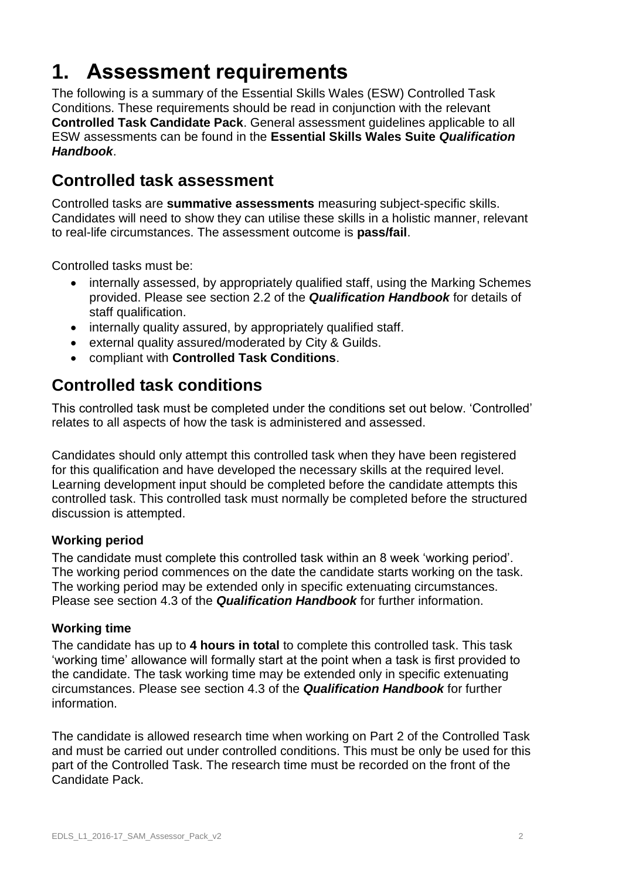# **1. Assessment requirements**

The following is a summary of the Essential Skills Wales (ESW) Controlled Task Conditions. These requirements should be read in conjunction with the relevant **Controlled Task Candidate Pack**. General assessment guidelines applicable to all ESW assessments can be found in the **Essential Skills Wales Suite** *Qualification Handbook*.

# **Controlled task assessment**

Controlled tasks are **summative assessments** measuring subject-specific skills. Candidates will need to show they can utilise these skills in a holistic manner, relevant to real-life circumstances. The assessment outcome is **pass/fail**.

Controlled tasks must be:

- internally assessed, by appropriately qualified staff, using the Marking Schemes provided. Please see section 2.2 of the *Qualification Handbook* for details of staff qualification.
- internally quality assured, by appropriately qualified staff.
- external quality assured/moderated by City & Guilds.
- compliant with **Controlled Task Conditions**.

# **Controlled task conditions**

This controlled task must be completed under the conditions set out below. 'Controlled' relates to all aspects of how the task is administered and assessed.

Candidates should only attempt this controlled task when they have been registered for this qualification and have developed the necessary skills at the required level. Learning development input should be completed before the candidate attempts this controlled task. This controlled task must normally be completed before the structured discussion is attempted.

## **Working period**

The candidate must complete this controlled task within an 8 week 'working period'. The working period commences on the date the candidate starts working on the task. The working period may be extended only in specific extenuating circumstances. Please see section 4.3 of the *Qualification Handbook* for further information.

### **Working time**

The candidate has up to **4 hours in total** to complete this controlled task. This task 'working time' allowance will formally start at the point when a task is first provided to the candidate. The task working time may be extended only in specific extenuating circumstances. Please see section 4.3 of the *Qualification Handbook* for further information.

The candidate is allowed research time when working on Part 2 of the Controlled Task and must be carried out under controlled conditions. This must be only be used for this part of the Controlled Task. The research time must be recorded on the front of the Candidate Pack.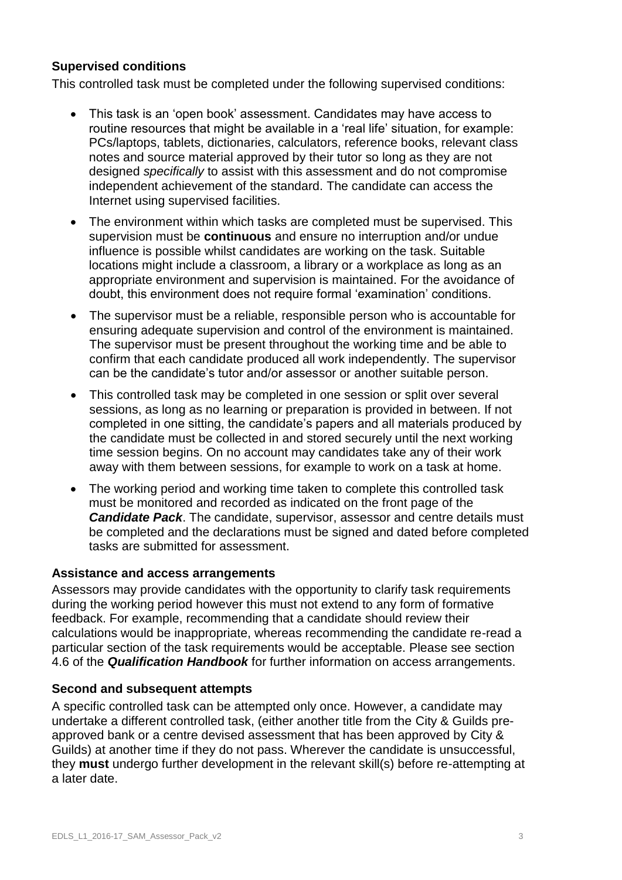## **Supervised conditions**

This controlled task must be completed under the following supervised conditions:

- This task is an 'open book' assessment. Candidates may have access to routine resources that might be available in a 'real life' situation, for example: PCs/laptops, tablets, dictionaries, calculators, reference books, relevant class notes and source material approved by their tutor so long as they are not designed *specifically* to assist with this assessment and do not compromise independent achievement of the standard. The candidate can access the Internet using supervised facilities.
- The environment within which tasks are completed must be supervised. This supervision must be **continuous** and ensure no interruption and/or undue influence is possible whilst candidates are working on the task. Suitable locations might include a classroom, a library or a workplace as long as an appropriate environment and supervision is maintained. For the avoidance of doubt, this environment does not require formal 'examination' conditions.
- The supervisor must be a reliable, responsible person who is accountable for ensuring adequate supervision and control of the environment is maintained. The supervisor must be present throughout the working time and be able to confirm that each candidate produced all work independently. The supervisor can be the candidate's tutor and/or assessor or another suitable person.
- This controlled task may be completed in one session or split over several sessions, as long as no learning or preparation is provided in between. If not completed in one sitting, the candidate's papers and all materials produced by the candidate must be collected in and stored securely until the next working time session begins. On no account may candidates take any of their work away with them between sessions, for example to work on a task at home.
- The working period and working time taken to complete this controlled task must be monitored and recorded as indicated on the front page of the *Candidate Pack*. The candidate, supervisor, assessor and centre details must be completed and the declarations must be signed and dated before completed tasks are submitted for assessment.

### **Assistance and access arrangements**

Assessors may provide candidates with the opportunity to clarify task requirements during the working period however this must not extend to any form of formative feedback. For example, recommending that a candidate should review their calculations would be inappropriate, whereas recommending the candidate re-read a particular section of the task requirements would be acceptable. Please see section 4.6 of the *Qualification Handbook* for further information on access arrangements.

### **Second and subsequent attempts**

A specific controlled task can be attempted only once. However, a candidate may undertake a different controlled task, (either another title from the City & Guilds preapproved bank or a centre devised assessment that has been approved by City & Guilds) at another time if they do not pass. Wherever the candidate is unsuccessful, they **must** undergo further development in the relevant skill(s) before re-attempting at a later date.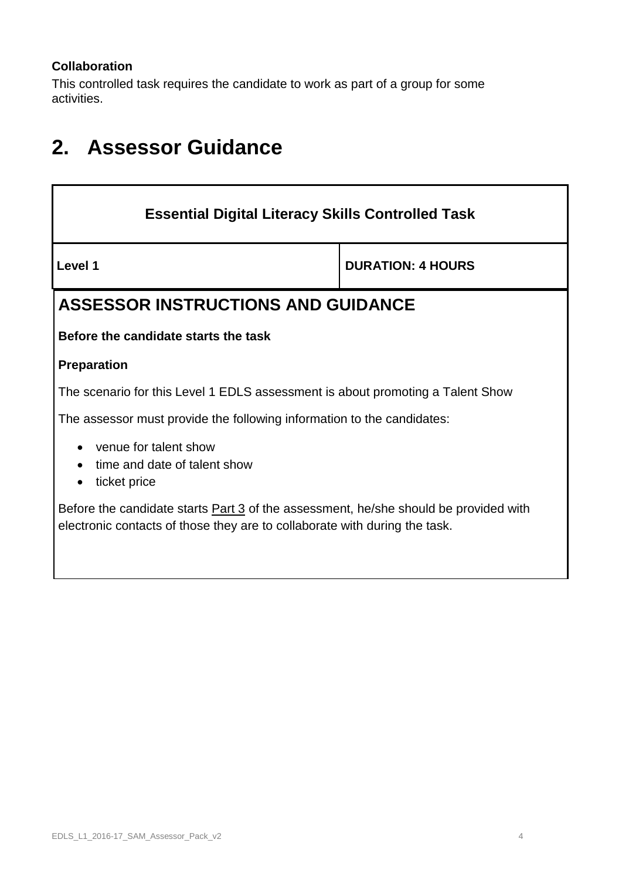## **Collaboration**

This controlled task requires the candidate to work as part of a group for some activities.

# **2. Assessor Guidance**

| <b>Essential Digital Literacy Skills Controlled Task</b>                                                                                                                  |  |  |  |
|---------------------------------------------------------------------------------------------------------------------------------------------------------------------------|--|--|--|
| Level 1<br><b>DURATION: 4 HOURS</b>                                                                                                                                       |  |  |  |
| <b>ASSESSOR INSTRUCTIONS AND GUIDANCE</b>                                                                                                                                 |  |  |  |
| Before the candidate starts the task                                                                                                                                      |  |  |  |
| <b>Preparation</b>                                                                                                                                                        |  |  |  |
| The scenario for this Level 1 EDLS assessment is about promoting a Talent Show                                                                                            |  |  |  |
| The assessor must provide the following information to the candidates:                                                                                                    |  |  |  |
| venue for talent show<br>time and date of talent show<br>ticket price                                                                                                     |  |  |  |
| Before the candidate starts <b>Part 3</b> of the assessment, he/she should be provided with<br>electronic contacts of those they are to collaborate with during the task. |  |  |  |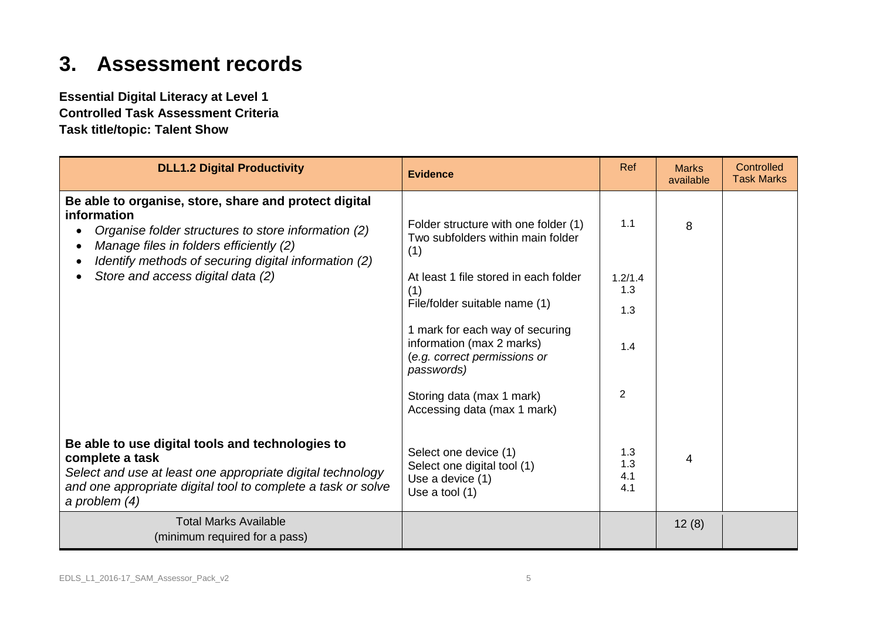# **3. Assessment records**

**Essential Digital Literacy at Level 1 Controlled Task Assessment Criteria Task title/topic: Talent Show**

| <b>DLL1.2 Digital Productivity</b>                                                                                                                                                                                             | <b>Evidence</b>                                                                                            | Ref                      | <b>Marks</b><br>available | Controlled<br><b>Task Marks</b> |
|--------------------------------------------------------------------------------------------------------------------------------------------------------------------------------------------------------------------------------|------------------------------------------------------------------------------------------------------------|--------------------------|---------------------------|---------------------------------|
| Be able to organise, store, share and protect digital<br>information<br>Organise folder structures to store information (2)<br>Manage files in folders efficiently (2)<br>Identify methods of securing digital information (2) | Folder structure with one folder (1)<br>Two subfolders within main folder<br>(1)                           | 1.1                      | 8                         |                                 |
| Store and access digital data (2)                                                                                                                                                                                              | At least 1 file stored in each folder<br>(1)                                                               | 1.2/1.4<br>1.3           |                           |                                 |
|                                                                                                                                                                                                                                | File/folder suitable name (1)                                                                              | 1.3                      |                           |                                 |
|                                                                                                                                                                                                                                | 1 mark for each way of securing<br>information (max 2 marks)<br>(e.g. correct permissions or<br>passwords) | 1.4                      |                           |                                 |
|                                                                                                                                                                                                                                | Storing data (max 1 mark)<br>Accessing data (max 1 mark)                                                   | 2                        |                           |                                 |
| Be able to use digital tools and technologies to<br>complete a task<br>Select and use at least one appropriate digital technology<br>and one appropriate digital tool to complete a task or solve<br>a problem $(4)$           | Select one device (1)<br>Select one digital tool (1)<br>Use a device (1)<br>Use a tool $(1)$               | 1.3<br>1.3<br>4.1<br>4.1 | 4                         |                                 |
| <b>Total Marks Available</b><br>(minimum required for a pass)                                                                                                                                                                  |                                                                                                            |                          | 12(8)                     |                                 |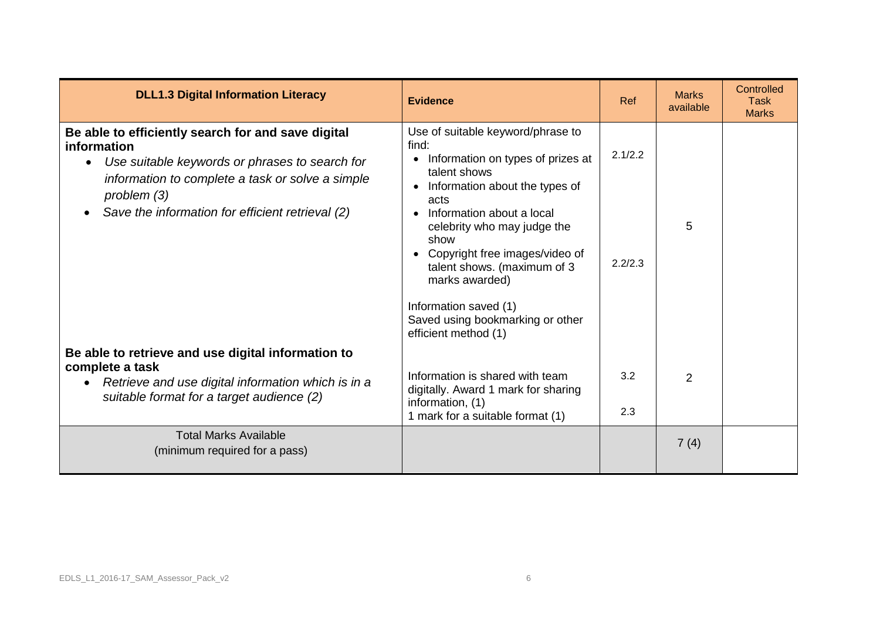| <b>DLL1.3 Digital Information Literacy</b>                                                                                                                                                                                                             | <b>Evidence</b>                                                                                                                                                                                                                                                                                                                                                                       |                    | <b>Marks</b><br>available | Controlled<br><b>Task</b><br><b>Marks</b> |
|--------------------------------------------------------------------------------------------------------------------------------------------------------------------------------------------------------------------------------------------------------|---------------------------------------------------------------------------------------------------------------------------------------------------------------------------------------------------------------------------------------------------------------------------------------------------------------------------------------------------------------------------------------|--------------------|---------------------------|-------------------------------------------|
| Be able to efficiently search for and save digital<br>information<br>Use suitable keywords or phrases to search for<br>$\bullet$<br>information to complete a task or solve a simple<br>problem(3)<br>Save the information for efficient retrieval (2) | Use of suitable keyword/phrase to<br>find:<br>Information on types of prizes at<br>talent shows<br>Information about the types of<br>acts<br>Information about a local<br>celebrity who may judge the<br>show<br>Copyright free images/video of<br>talent shows. (maximum of 3<br>marks awarded)<br>Information saved (1)<br>Saved using bookmarking or other<br>efficient method (1) | 2.1/2.2<br>2.2/2.3 | 5                         |                                           |
| Be able to retrieve and use digital information to<br>complete a task<br>Retrieve and use digital information which is in a<br>$\bullet$<br>suitable format for a target audience (2)                                                                  | Information is shared with team<br>digitally. Award 1 mark for sharing<br>information, (1)<br>1 mark for a suitable format (1)                                                                                                                                                                                                                                                        | 3.2<br>2.3         | 2                         |                                           |
| <b>Total Marks Available</b><br>(minimum required for a pass)                                                                                                                                                                                          |                                                                                                                                                                                                                                                                                                                                                                                       |                    | 7(4)                      |                                           |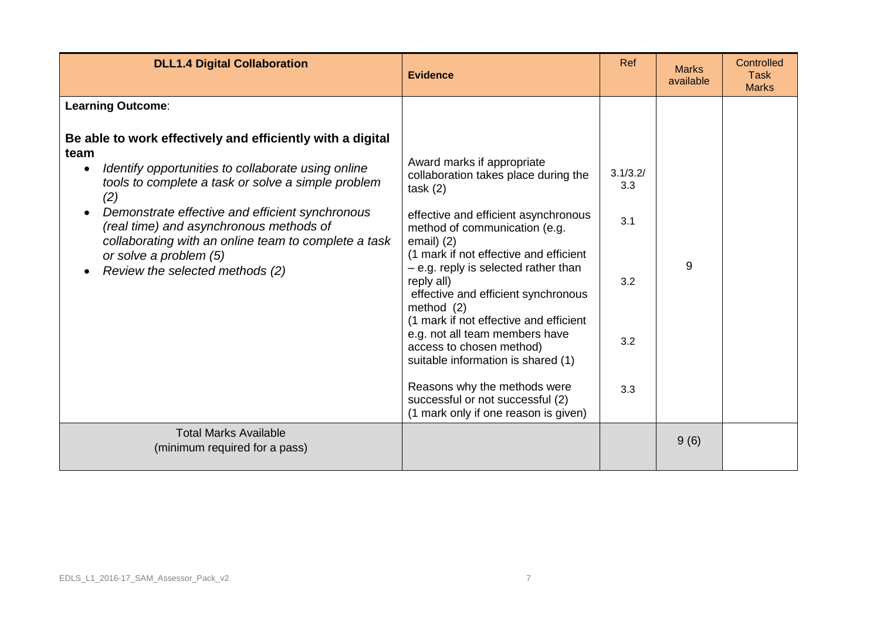| <b>DLL1.4 Digital Collaboration</b>                                                                                                                                                                                                                                                                                                                                                                      | <b>Evidence</b>                                                                                                                                                                                                                                                                                                                                                                                                                                                                                                                                                                          | Ref                                         | <b>Marks</b><br>available | Controlled<br><b>Task</b><br><b>Marks</b> |
|----------------------------------------------------------------------------------------------------------------------------------------------------------------------------------------------------------------------------------------------------------------------------------------------------------------------------------------------------------------------------------------------------------|------------------------------------------------------------------------------------------------------------------------------------------------------------------------------------------------------------------------------------------------------------------------------------------------------------------------------------------------------------------------------------------------------------------------------------------------------------------------------------------------------------------------------------------------------------------------------------------|---------------------------------------------|---------------------------|-------------------------------------------|
| <b>Learning Outcome:</b>                                                                                                                                                                                                                                                                                                                                                                                 |                                                                                                                                                                                                                                                                                                                                                                                                                                                                                                                                                                                          |                                             |                           |                                           |
| Be able to work effectively and efficiently with a digital<br>team<br>Identify opportunities to collaborate using online<br>tools to complete a task or solve a simple problem<br>(2)<br>Demonstrate effective and efficient synchronous<br>(real time) and asynchronous methods of<br>collaborating with an online team to complete a task<br>or solve a problem (5)<br>Review the selected methods (2) | Award marks if appropriate<br>collaboration takes place during the<br>task(2)<br>effective and efficient asynchronous<br>method of communication (e.g.<br>email $(2)$<br>(1 mark if not effective and efficient<br>$-$ e.g. reply is selected rather than<br>reply all)<br>effective and efficient synchronous<br>method $(2)$<br>(1 mark if not effective and efficient<br>e.g. not all team members have<br>access to chosen method)<br>suitable information is shared (1)<br>Reasons why the methods were<br>successful or not successful (2)<br>(1 mark only if one reason is given) | 3.1/3.2/<br>3.3<br>3.1<br>3.2<br>3.2<br>3.3 | 9                         |                                           |
| <b>Total Marks Available</b><br>(minimum required for a pass)                                                                                                                                                                                                                                                                                                                                            |                                                                                                                                                                                                                                                                                                                                                                                                                                                                                                                                                                                          |                                             | 9(6)                      |                                           |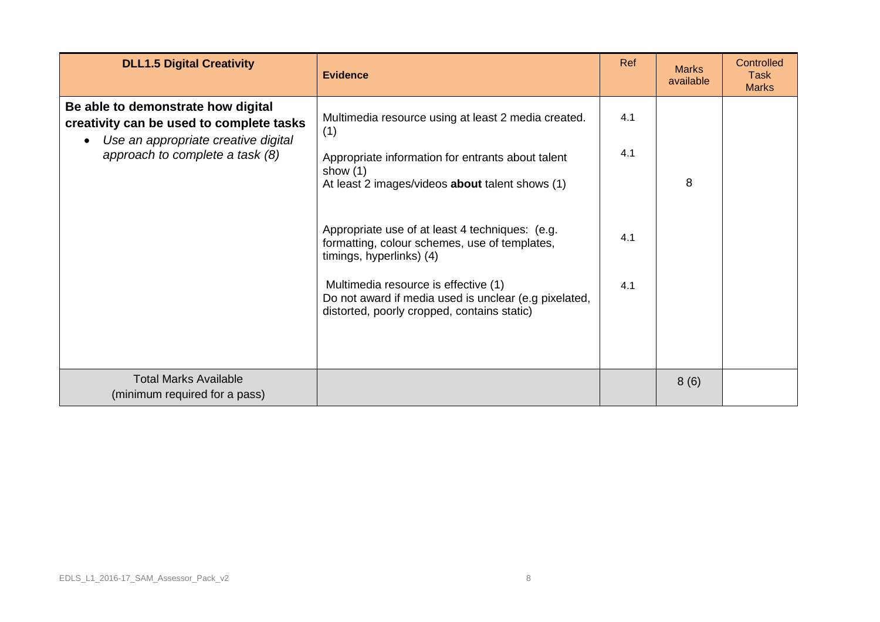| <b>DLL1.5 Digital Creativity</b>                                                                                                                         | <b>Evidence</b>                                                                                                                                                                                                                                                              | Ref        | <b>Marks</b><br>available | Controlled<br>Task<br><b>Marks</b> |
|----------------------------------------------------------------------------------------------------------------------------------------------------------|------------------------------------------------------------------------------------------------------------------------------------------------------------------------------------------------------------------------------------------------------------------------------|------------|---------------------------|------------------------------------|
| Be able to demonstrate how digital<br>creativity can be used to complete tasks<br>Use an appropriate creative digital<br>approach to complete a task (8) | Multimedia resource using at least 2 media created.<br>(1)<br>Appropriate information for entrants about talent<br>show $(1)$<br>At least 2 images/videos <b>about</b> talent shows (1)                                                                                      | 4.1<br>4.1 | 8                         |                                    |
|                                                                                                                                                          | Appropriate use of at least 4 techniques: (e.g.<br>formatting, colour schemes, use of templates,<br>timings, hyperlinks) (4)<br>Multimedia resource is effective (1)<br>Do not award if media used is unclear (e.g pixelated,<br>distorted, poorly cropped, contains static) | 4.1<br>4.1 |                           |                                    |
| <b>Total Marks Available</b><br>(minimum required for a pass)                                                                                            |                                                                                                                                                                                                                                                                              |            | 8(6)                      |                                    |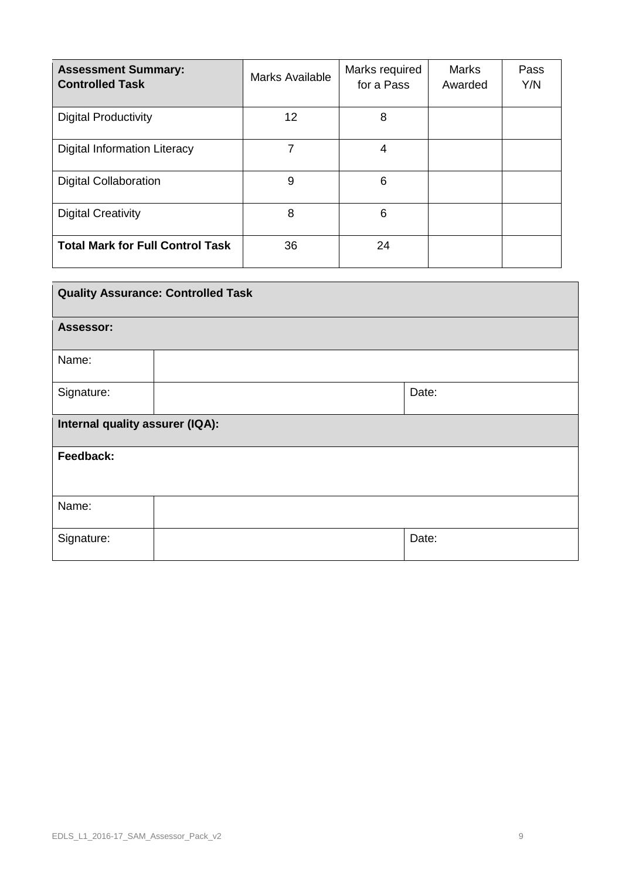| <b>Assessment Summary:</b><br><b>Controlled Task</b> | Marks Available | Marks required<br>for a Pass | <b>Marks</b><br>Awarded | Pass<br>Y/N |
|------------------------------------------------------|-----------------|------------------------------|-------------------------|-------------|
| <b>Digital Productivity</b>                          | 12              | 8                            |                         |             |
| Digital Information Literacy                         | 7               | 4                            |                         |             |
| <b>Digital Collaboration</b>                         | 9               | 6                            |                         |             |
| <b>Digital Creativity</b>                            | 8               | 6                            |                         |             |
| <b>Total Mark for Full Control Task</b>              | 36              | 24                           |                         |             |

| <b>Quality Assurance: Controlled Task</b> |  |       |  |  |
|-------------------------------------------|--|-------|--|--|
| Assessor:                                 |  |       |  |  |
| Name:                                     |  |       |  |  |
| Signature:                                |  | Date: |  |  |
| Internal quality assurer (IQA):           |  |       |  |  |
| Feedback:                                 |  |       |  |  |
| Name:                                     |  |       |  |  |
| Signature:                                |  | Date: |  |  |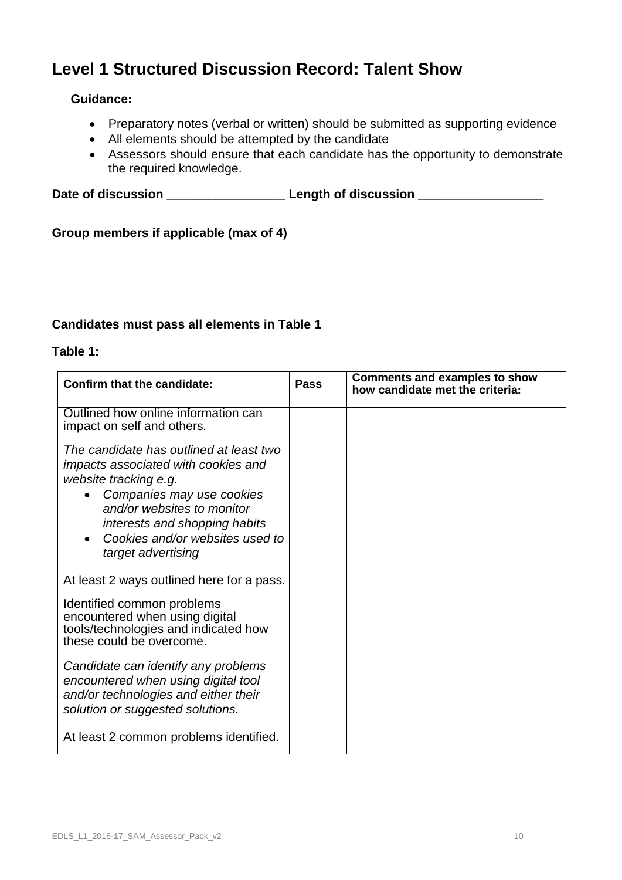# **Level 1 Structured Discussion Record: Talent Show**

## **Guidance:**

- Preparatory notes (verbal or written) should be submitted as supporting evidence
- All elements should be attempted by the candidate
- Assessors should ensure that each candidate has the opportunity to demonstrate the required knowledge.

Date of discussion **Date of discussion** 

| Group members if applicable (max of 4) |  |
|----------------------------------------|--|
|                                        |  |
|                                        |  |
|                                        |  |
|                                        |  |

## **Candidates must pass all elements in Table 1**

### **Table 1:**

| Confirm that the candidate:                                                                                                                                                                                                                                  | Pass | <b>Comments and examples to show</b><br>how candidate met the criteria: |
|--------------------------------------------------------------------------------------------------------------------------------------------------------------------------------------------------------------------------------------------------------------|------|-------------------------------------------------------------------------|
| Outlined how online information can<br>impact on self and others.                                                                                                                                                                                            |      |                                                                         |
| The candidate has outlined at least two<br>impacts associated with cookies and<br>website tracking e.g.<br>Companies may use cookies<br>and/or websites to monitor<br>interests and shopping habits<br>Cookies and/or websites used to<br>target advertising |      |                                                                         |
| At least 2 ways outlined here for a pass.                                                                                                                                                                                                                    |      |                                                                         |
| Identified common problems<br>encountered when using digital<br>tools/technologies and indicated how<br>these could be overcome.<br>Candidate can identify any problems<br>encountered when using digital tool                                               |      |                                                                         |
| and/or technologies and either their<br>solution or suggested solutions.                                                                                                                                                                                     |      |                                                                         |
| At least 2 common problems identified.                                                                                                                                                                                                                       |      |                                                                         |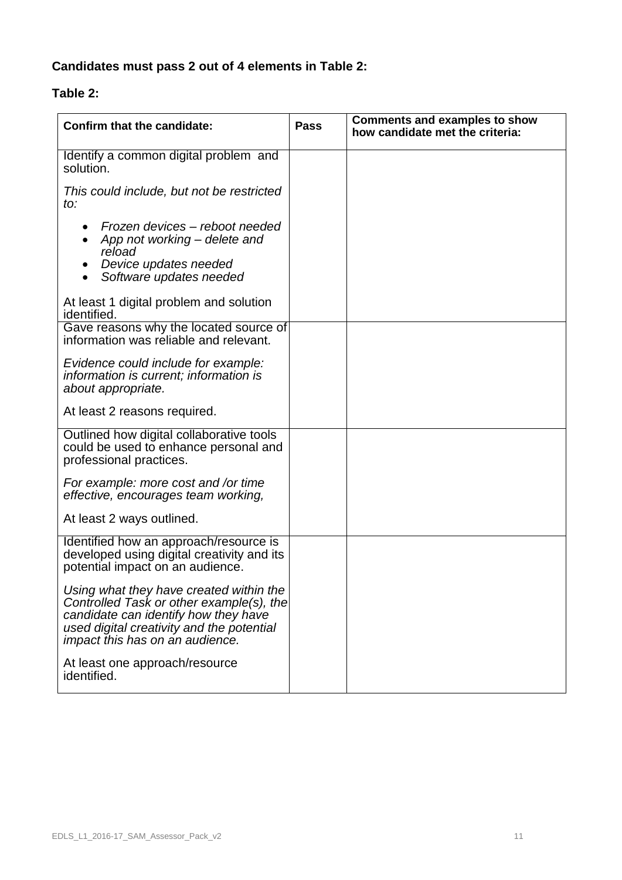# **Candidates must pass 2 out of 4 elements in Table 2:**

# **Table 2:**

| <b>Confirm that the candidate:</b>                                                                                                                                                                          | <b>Pass</b> | <b>Comments and examples to show</b><br>how candidate met the criteria: |
|-------------------------------------------------------------------------------------------------------------------------------------------------------------------------------------------------------------|-------------|-------------------------------------------------------------------------|
| Identify a common digital problem and<br>solution.                                                                                                                                                          |             |                                                                         |
| This could include, but not be restricted<br>to:                                                                                                                                                            |             |                                                                         |
| Frozen devices – reboot needed<br>App not working – delete and<br>$\bullet$<br>reload<br>Device updates needed<br>Software updates needed<br>$\bullet$                                                      |             |                                                                         |
| At least 1 digital problem and solution<br>identified.                                                                                                                                                      |             |                                                                         |
| Gave reasons why the located source of<br>information was reliable and relevant.                                                                                                                            |             |                                                                         |
| Evidence could include for example:<br>information is current; information is<br>about appropriate.                                                                                                         |             |                                                                         |
| At least 2 reasons required.                                                                                                                                                                                |             |                                                                         |
| Outlined how digital collaborative tools<br>could be used to enhance personal and<br>professional practices.                                                                                                |             |                                                                         |
| For example: more cost and /or time<br>effective, encourages team working,                                                                                                                                  |             |                                                                         |
| At least 2 ways outlined.                                                                                                                                                                                   |             |                                                                         |
| Identified how an approach/resource is<br>developed using digital creativity and its<br>potential impact on an audience.                                                                                    |             |                                                                         |
| Using what they have created within the<br>Controlled Task or other example(s), the<br>candidate can identify how they have<br>used digital creativity and the potential<br>impact this has on an audience. |             |                                                                         |
| At least one approach/resource<br>identified.                                                                                                                                                               |             |                                                                         |